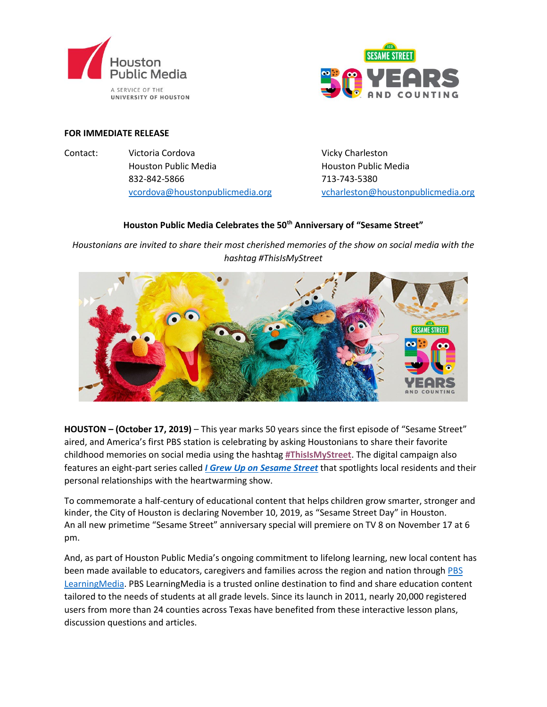



## **FOR IMMEDIATE RELEASE**

Contact: Victoria Cordova Vicky Charleston Houston Public Media Houston Public Media 832-842-5866 713-743-5380

[vcordova@houstonpublicmedia.org](mailto:vcordova@houstonpublicmedia.org) [vcharleston@houstonpublicmedia.org](mailto:vcharleston@houstonpublicmedia.org)

## **Houston Public Media Celebrates the 50th Anniversary of "Sesame Street"**

*Houstonians are invited to share their most cherished memories of the show on social media with the hashtag #ThisIsMyStreet*



**HOUSTON – (October 17, 2019)** – This year marks 50 years since the first episode of "Sesame Street" aired, and America's first PBS station is celebrating by asking Houstonians to share their favorite childhood memories on social media using the hashtag **[#ThisIsMyStreet](https://twitter.com/hashtag/ThisIsMyStreet?src=hashtag_click)**. The digital campaign also features an eight-part series called *[I Grew Up on Sesame Street](https://m.facebook.com/houstonpublicmedia/video_grid/?playlist_id=596012974267195&ref=bookmarks)* that spotlights local residents and their personal relationships with the heartwarming show.

To commemorate a half-century of educational content that helps children grow smarter, stronger and kinder, the City of Houston is declaring November 10, 2019, as "Sesame Street Day" in Houston. An all new primetime "Sesame Street" anniversary special will premiere on TV 8 on November 17 at 6 pm.

And, as part of Houston Public Media's ongoing commitment to lifelong learning, new local content has been made available to educators, caregivers and families across the region and nation through [PBS](https://houstonpbs.pbslearningmedia.org/)  [LearningMedia.](https://houstonpbs.pbslearningmedia.org/) PBS LearningMedia is a trusted online destination to find and share education content tailored to the needs of students at all grade levels. Since its launch in 2011, nearly 20,000 registered users from more than 24 counties across Texas have benefited from these interactive lesson plans, discussion questions and articles.